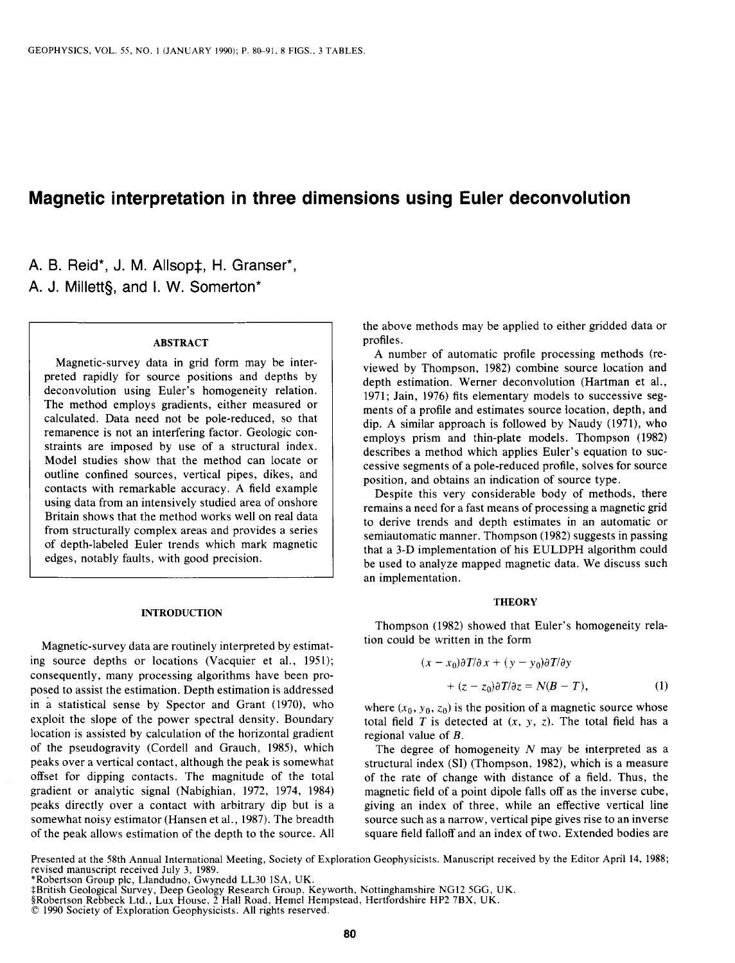# **Magnetic interpretation in three dimensions using Euler deconvolution**

A. B. Reid\*, J. M. Allsop‡, H. Granser\*, A. J. Millett§, and I. W. Somerton<sup>\*</sup>

# **ABSTRACT**

**Magnetic-survey data in grid form may be interpreted rapidly for source positions and depths by deconvolution using Euler's homogeneity relation. The method employs gradients, either measured or calculated. Data need not be pole-reduced, so that remanence is not an interfering factor. Geologic constraints are imposed by use of a structural index. Model studies show that the method can locate or outline confined sources, vertical pipes, dikes, and contacts with remarkable accuracy. A field example using data from an intensively studied area of onshore Britain shows that the method works well on real data from structurally complex areas and provides a series of depth-labeled Euler trends which mark magnetic edges, notably faults, with good precision.** 

#### **INTRODUCTION**

**Magnetic-survey data are routinely interpreted by estimating source depths or locations (Vacquier et al., 1951); consequently, many processing algorithms have been proposed to assist the estimation. Depth estimation is addressed in g statistical sense by Spector and Grant (1970), who exploit the slope of the power spectral density. Boundary location is assisted by calculation of the horizontal gradient of the pseudogravity (Cordell and Grauch, 1985), which peaks over a vertical contact, although the peak is somewhat offset for dipping contacts. The magnitude of the total gradient or analytic signal (Nabighian, 1972, 1974, 1984) peaks directly over a contact with arbitrary dip but is a somewhat noisy estimator (Hansen et al., 1987). The breadth of the peak allows estimation of the depth to the source. All**  **the above methods may be applied to either gridded data or profiles.** 

**A number of automatic profile processing methods (reviewed by Thompson, 1982) combine source location and depth estimation. Werner deconvolution (Hartman et al., 1971; Jain, 1976) fits elementary models to successive segments of a profile and estimates source location, depth, and dip. A similar approach is followed by Naudy (1971), who employs prism and thin-plate models. Thompson (1982) describes a method which applies Euler's equation to successive segments of a pole-reduced profile, solves for source position, and obtains an indication of source type.** 

**Despite this very considerable body of methods, there remains a need for a fast means of processing a magnetic grid to derive trends and depth estimates in an automatic or semiautomatic manner. Thompson (1982) suggests in passing that a 3-D implementation of his EULDPH algorithm could be used to analyze mapped magnetic data. We discuss such an implementation.** 

### **THEORY**

**Thompson (1982) showed that Euler's homogeneity relation could be written in the form** 

$$
(x - x_0)\partial T/\partial x + (y - y_0)\partial T/\partial y
$$
  
+ 
$$
(z - z_0)\partial T/\partial z = N(B - T),
$$
 (1)

where  $(x_0, y_0, z_0)$  is the position of a magnetic source whose total field  $T$  is detected at  $(x, y, z)$ . The total field has a **regional value of B.** 

**The degree of homogeneity N may be interpreted as a structural index (SI) (Thompson, 1982), which is a measure of the rate of change with distance of a field. Thus, the magnetic field of a point dipole falls off as the inverse cube, giving an index of three, while an effective vertical line source such as a narrow, vertical pipe gives rise to an inverse square field falloff and an index of two. Extended bodies are** 

**Presented at the 58th Annual International Meeting, Society of Exploration Geophysicists. Manuscript received by the Editor April 14, 1988; revised manuscript received July 3, 1989.** 

**<sup>\*</sup>Robertson Group plc, Llandudno, Gwynedd LL30 ISA, UK.** 

<sup>‡</sup>British Geological Survey, Deep Geology Research Group, Keyworth, Nottinghamshire NG12 5GG, UK.<br>§Robertson Rebbeck Ltd., Lux House, 2 Hall Road, Hemel Hempstead, Hertfordshire HP2 7BX, UK.

**<sup>0 1990</sup> Society of Exploration Geophysicists. All rights reserved.**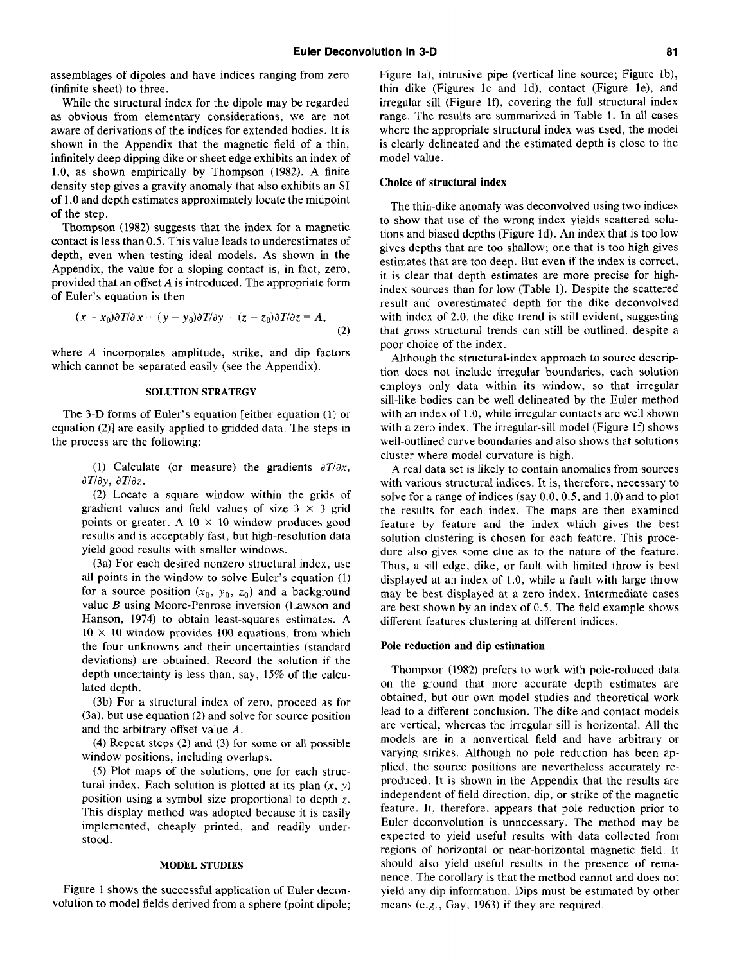**assemblages of dipoles and have indices ranging from zero (infinite sheet) to three.** 

**While the structural index for the dipole may be regarded as obvious from elementary considerations, we are not aware of derivations of the indices for extended bodies. It is shown in the Appendix that the magnetic field of a thin, infinitely deep dipping dike or sheet edge exhibits an index of 1.0, as shown empirically by Thompson (1982). A finite density step gives a gravity anomaly that also exhibits an SI of 1 .O and depth estimates approximately locate the midpoint of the step.** 

**Thompson (1982) suggests that the index for a magnetic contact is less than 0.5. This value leads to underestimates of depth, even when testing ideal models. As shown in the Appendix, the value for a sloping contact is, in fact, zero, provided that an offset A is introduced. The appropriate form of Euler's equation is then** 

$$
(x-x_0)\partial T/\partial x + (y-y_0)\partial T/\partial y + (z-z_0)\partial T/\partial z = A,
$$
\n(2)

**where A incorporates amplitude, strike, and dip factors which cannot be separated easily (see the Appendix).** 

# **SOLUTION STRATEGY**

**The 3-D forms of Euler's equation [either equation (1) or equation (2)] are easily applied to gridded data. The steps in the process are the following:** 

(1) Calculate (or measure) the gradients  $\partial T/\partial x$ ,  $\partial T/\partial y$ ,  $\partial T/\partial z$ .

**(2) Locate a square window within the grids of**  gradient values and field values of size  $3 \times 3$  grid points or greater. A  $10 \times 10$  window produces good **results and is acceptably fast, but high-resolution data yield good results with smaller windows.** 

**(3a) For each desired nonzero structural index, use all points in the window to solve Euler's equation (1)**  for a source position  $(x_0, y_0, z_0)$  and a background **value B using Moore-Penrose inversion (Lawson and Hanson, 1974) to obtain least-squares estimates. A**   $10 \times 10$  window provides 100 equations, from which **the four unknowns and their uncertainties (standard deviations) are obtained. Record the solution if the depth uncertainty is less than, say, 15% of the calculated depth.** 

**(3b) For a structural index of zero, proceed as for (3a), but use equation (2) and solve for source position and the arbitrary offset value A.** 

**(4) Repeat steps (2) and (3) for some or all possible window positions, including overlaps.** 

**(5) Plot maps of the solutions, one for each struc**tural index. Each solution is plotted at its plan  $(x, y)$ **position using a symbol size proportional to depth z. This display method was adopted because it is easily implemented, cheaply printed, and readily understood.** 

#### **MODEL STUDIES**

**Figure 1 shows the successful application of Euler deconvolution to model fields derived from a sphere (point dipole;** 

**Figure la), intrusive pipe (vertical line source; Figure lb), thin dike (Figures lc and Id), contact (Figure le), and irregular sill (Figure If), covering the full structural index range. The results are summarized in Table 1. In all cases where the appropriate structural index was used, the model is clearly delineated and the estimated depth is close to the model value.** 

## **Choice of structural index**

**The thin-dike anomaly was deconvolved using two indices to show that use of the wrong index yields scattered solutions and biased depths (Figure Id). An index that is too low gives depths that are too shallow; one that is too high gives estimates that are too deep. But even if the index is correct, it is clear that depth estimates are more precise for highindex sources than for low (Table 1). Despite the scattered result and overestimated depth for the dike deconvolved with index of 2.0, the dike trend is still evident, suggesting that gross structural trends can still be outlined, despite a poor choice of the index.** 

**Although the structural-index approach to source description does not include irregular boundaries, each solution employs only data within its window, so that irregular sill-like bodies can be well delineated by the Euler method with an index of 1 .O, while irregular contacts are well shown with a zero index. The irregular-sill model (Figure lf) shows well-outlined curve boundaries and also shows that solutions cluster where model curvature is high.** 

**A real data set is likely to contain anomalies from sources with various structural indices. It is, therefore, necessary to solve for a range of indices (say 0.0,0.5, and 1.0) and to plot the results for each index. The maps are then examined feature by feature and the index which gives the best solution clustering is chosen for each feature. This procedure also gives some clue as to the nature of the feature. Thus, a sill edge, dike, or fault with limited throw is best displayed at an index of 1.0, while a fault with large throw may be best displayed at a zero index. Intermediate cases are best shown by an index of 0.5. The field example shows different features clustering at different indices.** 

## **Pole reduction and dip estimation**

**Thompson (1982) prefers to work with pole-reduced data on the ground that more accurate depth estimates are obtained, but our own model studies and theoretical work lead to a different conclusion. The dike and contact models are vertical, whereas the irregular sill is horizontal. All the models are in a nonvertical field and have arbitrary or varying strikes. Although no pole reduction has been applied, the source positions are nevertheless accurately reproduced. It is shown in the Appendix that the results are independent of field direction, dip, or strike of the magnetic feature. It, therefore, appears that pole reduction prior to Euler deconvolution is unnecessary. The method may be expected to yield useful results with data collected from regions of horizontal or near-horizontal magnetic field. It should also yield useful results in the presence of remanence. The corollary is that the method cannot and does not yield any dip information. Dips must be estimated by other means (e.g., Gay, 1963) if they are required.**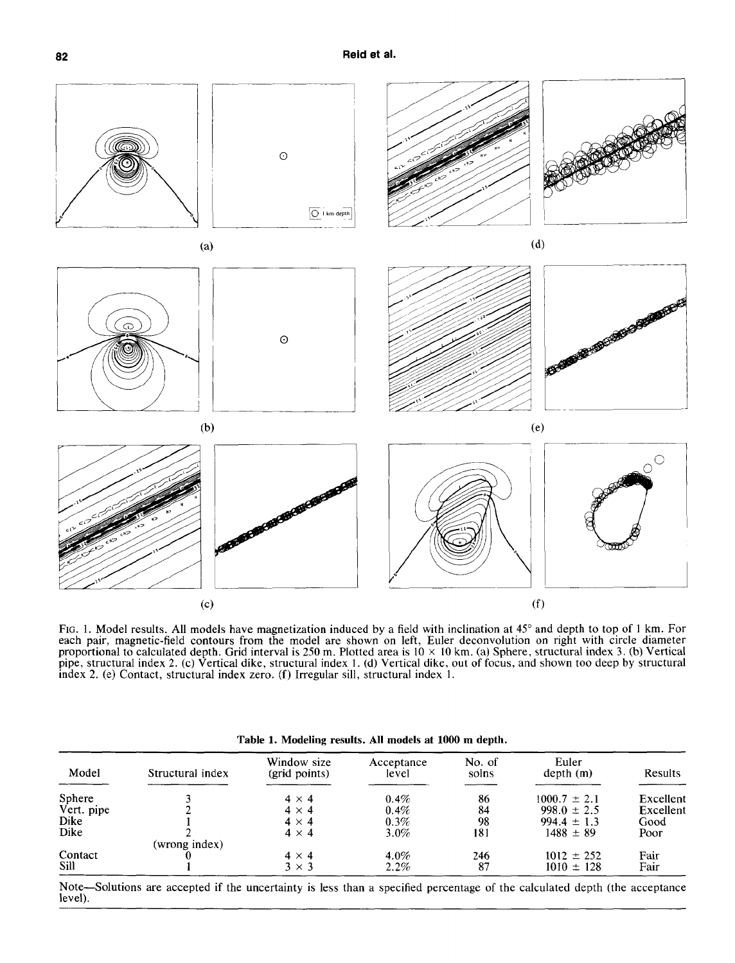

**FIG. 1. Model results. All models have magnetization induced by a field with inclination at 45" and depth to top of 1 km. For each pair, magnetic-field contours from the model are shown on left, Euler deconvolution on right with circle diameter proportional to calculated depth. Grid interval is 250 m. Plotted area is 10 x 10 km. (a) Sphere, structural index 3. (b) Vertical pipe, structural index 2. (c) Vertical dike, structural index 1. (d) Vertical dike, out of focus, and shown too deep by structural index 2. (e) Contact, structural index zero. (f) Irregular sill, structural index 1.** 

| Table 1. Modeling results. All models at 1000 m depth. |  |  |  |  |
|--------------------------------------------------------|--|--|--|--|
|--------------------------------------------------------|--|--|--|--|

| Model      | Structural index | Window size<br>(grid points) | Acceptance<br>level | No. of<br>solns | Euler<br>depth(m) | Results   |
|------------|------------------|------------------------------|---------------------|-----------------|-------------------|-----------|
| Sphere     |                  | $4 \times 4$                 | 0.4%                | 86              | $1000.7 \pm 2.1$  | Excellent |
| Vert. pipe |                  | $4 \times 4$                 | 0.4%                | 84              | $998.0 \pm 2.5$   | Excellent |
| Dike       |                  | $4 \times 4$                 | 0.3%                | 98              | $994.4 \pm 1.3$   | Good      |
| Dike       |                  | $4 \times 4$                 | $3.0\%$             | 181             | $1488 \pm 89$     | Poor      |
|            | (wrong index)    |                              |                     |                 |                   |           |
| Contact    |                  | $4 \times 4$                 | 4.0%                | 246             | $1012 \pm 252$    | Fair      |
| Sill       |                  | $3 \times 3$                 | $2.2\%$             | 87              | $1010 \pm 128$    | Fair      |

**Note-Solutions are accepted if the uncertainty is less than a specified percentage of the calculated depth (the acceptance level).**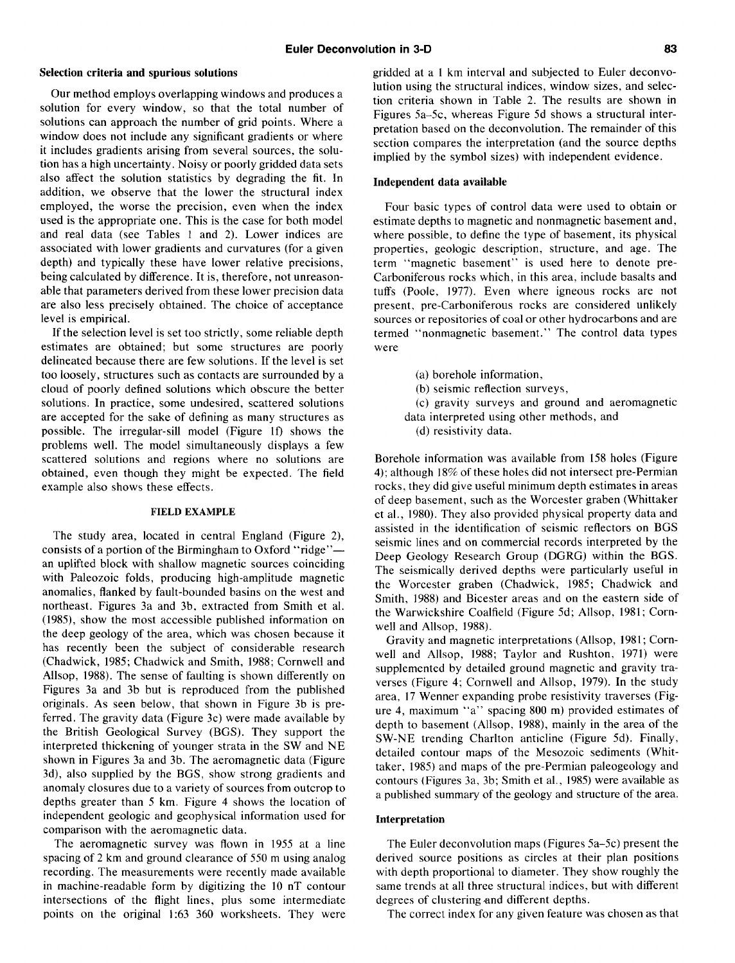## **Selection criteria and spurious solutions**

**Our method employs overlapping windows and produces a solution for every window, so that the total number of solutions can approach the number of grid points. Where a window does not include any significant gradients or where it includes gradients arising from several sources, the solution has a high uncertainty. Noisy or poorly gridded data sets also affect the solution statistics by degrading the fit. In addition, we observe that the lower the structural index employed, the worse the precision, even when the index used is the appropriate one. This is the case for both model and real data (see Tables 1 and 2). Lower indices are associated with lower gradients and curvatures (for a given depth) and typically these have lower relative precisions, being calculated by difference. It is, therefore, not unreasonable that parameters derived from these lower precision data are also less precisely obtained. The choice of acceptance level is empirical.** 

**If the selection level is set too strictly, some reliable depth estimates are obtained; but some structures are poorly delineated because there are few solutions. If the level is set too loosely, structures such as contacts are surrounded by a cloud of poorly defined solutions which obscure the better solutions. In practice, some undesired, scattered solutions are accepted for the sake of defining as many structures as possible. The irregular-sill model (Figure lf) shows the problems well. The model simultaneously displays a few scattered solutions and regions where no solutions are obtained, even though they might be expected. The field example also shows these effects.** 

## **FIELD EXAMPLE**

**The study area, located in central England (Figure 2), consists of a portion of the Birmingham to Oxford "ridge" an uplifted block with shallow magnetic sources coinciding with Paleozoic folds, producing high-amplitude magnetic anomalies, flanked by fault-bounded basins on the west and northeast. Figures 3a and 3b, extracted from Smith et al. (1985), show the most accessible published information on the deep geology of the area, which was chosen because it has recently been the subject of considerable research (Chadwick, 1985; Chadwick and Smith, 1988; Cornwell and Allsop, 1988). The sense of faulting is shown differently on Figures 3a and 3b but is reproduced from the published originals. As seen below, that shown in Figure 3b is preferred. The gravity data (Figure 3c) were made available by the British Geological Survey (BGS). They support the interpreted thickening of younger strata in the SW and NE shown in Figures 3a and 3b. The aeromagnetic data (Figure 3d), also supplied by the BGS, show strong gradients and anomaly closures due to a variety of sources from outcrop to depths greater than 5 km. Figure 4 shows the location of independent geologic and geophysical information used for comparison with the aeromagnetic data.** 

**The aeromagnetic survey was flown in 1955 at a line The Euler deconvolution maps (Figures 5a-5c) present the spacing of 2 km and ground clearance of 550 m using analog derived source positions as circles at their plan positions recording. The measurements were recently made available with depth proportional to diameter. They show roughly the**  in machine-readable form by digitizing the 10 nT contour same trends at all three structural indices, but with different **intersections of the flight lines, plus some intermediate degrees of clustering and different depths. points** on the original 1:63 360 worksheets. They were The correct index for any given feature was chosen as that

**gridded at a 1 km interval and subjected to Euler deconvolution using the structural indices, window sizes, and selection criteria shown in Table 2. The results are shown in Figures 5a-5c, whereas Figure 5d shows a structural interpretation based on the deconvolution. The remainder of this section compares the interpretation (and the source depths implied by the symbol sizes) with independent evidence.** 

#### **Independent data available**

**Four basic types of control data were used to obtain or estimate depths to magnetic and nonmagnetic basement and, where possible, to define the type of basement, its physical properties, geologic description, structure, and age. The term "magnetic basement" is used here to denote pre-Carboniferous rocks which, in this area, include basalts and tuffs (Poole, 1977). Even where igneous rocks are not present, pre-Carboniferous rocks are considered unlikely sources or repositories of coal or other hydrocarbons and are termed "nonmagnetic basement." The control data types were** 

> **(a) borehole information, (b) seismic reflection surveys, (c) gravity surveys and ground and aeromagnetic data interpreted using other methods, and (d) resistivity data.**

**Borehole information was available from 158 holes (Figure 4); although 18% of these holes did not intersect pre-Permian rocks, they did give useful minimum depth estimates in areas of deep basement, such as the Worcester graben (Whittaker et al., 1980). They also provided physical property data and assisted in the identification of seismic reflectors on BGS seismic lines and on commercial records interpreted by the Deep Geology Research Group (DGRG) within the BGS. The seismically derived depths were particularly useful in the Worcester graben (Chadwick, 1985; Chadwick and Smith, 1988) and Bicester areas and on the eastern side of the Warwickshire Coalfield (Figure 5d; Allsop, 1981; Cornwell and Allsop, 1988).** 

**Gravity and magnetic interpretations (Allsop, 1981; Cornwell and Allsop, 1988; Taylor and Rushton, 1971) were supplemented by detailed ground magnetic and gravity traverses (Figure 4; Cornwell and Allsop, 1979). In the study area, 17 Wenner expanding probe resistivity traverses (Figure 4, maximum "a" spacing 800 m) provided estimates of depth to basement (Allsop, 1988), mainly in the area of the SW-NE trending Charlton anticline (Figure 5d). Finally, detailed contour maps of the Mesozoic sediments (Whittaker, 1985) and maps of the pre-Permian paleogeology and contours (Figures 3a, 3b; Smith et al., 1985) were available as a published summary of the geology and structure of the area.** 

## **Interpretation**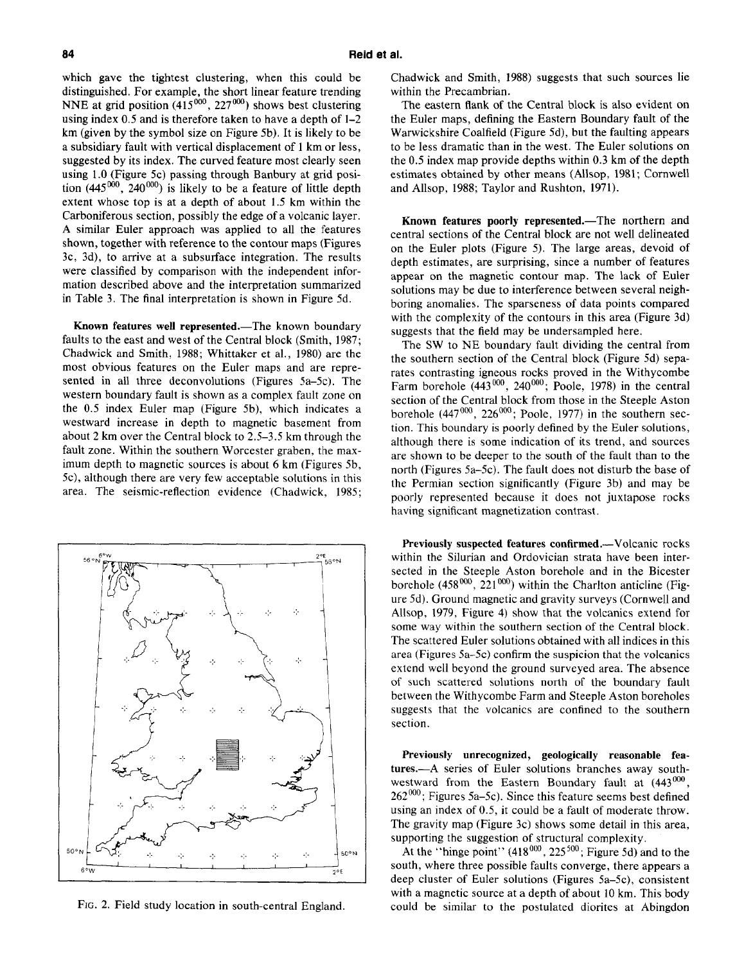**which gave the tightest clustering, when this could be distinguished. For example, the short linear feature trending NNE** at grid position (415<sup>000</sup>, 227<sup>000</sup>) shows best clustering **using index 0.5 and is therefore taken to have a depth of l-2 km (given by the symbol size on Figure 5b). It is likely to be a subsidiary fault with vertical displacement of 1 km or less, suggested by its index. The curved feature most clearly seen using 1.0 (Figure 5c) passing through Banbury at grid posi**tion  $(445^{000}, 240^{000})$  is likely to be a feature of little depth **extent whose top is at a depth of about 1.5 km within the Carboniferous section, possibly the edge of a volcanic layer. A similar Euler approach was applied to all the features shown, together with reference to the contour maps (Figures 3c, 3d), to arrive at a subsurface integration. The results were classified by comparison with the independent information described above and the interpretation summarized in Table 3. The final interpretation is shown in Figure 5d.** 

Known features well represented.-The known boundary **faults to the east and west of the Central block (Smith, 1987; Chadwick and Smith, 1988; Whittaker et al., 1980) are the most obvious features on the Euler maps and are represented in all three deconvolutions (Figures Sa-5c). The western boundary fault is shown as a complex fault zone on the 0.5 index Euler map (Figure 5b), which indicates a westward increase in depth to magnetic basement from about 2 km over the Central block to 2.5-3.5 km through the fault zone. Within the southern Worcester graben, the maximum depth to magnetic sources is about 6 km (Figures 5b, 5c), although there are very few acceptable solutions in this area. The seismic-reflection evidence (Chadwick, 1985;** 



**FIG. 2. Field study location in south-central England.** 

**Chadwick and Smith, 1988) suggests that such sources lie within the Precambrian.** 

**The eastern flank of the Central block is also evident on the Euler maps, defining the Eastern Boundary fault of the Warwickshire Coalfield (Figure 5d), but the faulting appears to be less dramatic than in the west. The Euler solutions on the 0.5 index map provide depths within 0.3 km of the depth estimates obtained by other means (Allsop, 1981; Comwell and Allsop, 1988; Taylor and Rushton, 1971).** 

Known features poorly represented.-The northern and **central sections of the Central block are not well delineated on the Euler plots (Figure 5). The large areas, devoid of depth estimates, are surprising, since a number of features appear on the magnetic contour map. The lack of Euler solutions may be due to interference between several neighboring anomalies. The sparseness of data points compared with the complexity of the contours in this area (Figure 3d) suggests that the field may be undersampled here.** 

**The SW to NE boundary fault dividing the central from the southern section of the Central block (Figure 5d) separates contrasting igneous rocks proved in the Withycombe**  Farm borehole (443<sup>000</sup>, 240<sup>000</sup>; Poole, 1978) in the central **section of the Central block from those in the Steeple Aston**  borehole (447<sup>000</sup>, 226<sup>000</sup>; Poole, 1977) in the southern sec**tion. This boundary is poorly defined by the Euler solutions, although there is some indication of its trend, and sources are shown to be deeper to the south of the fault than to the north (Figures 5a-5c). The fault does not disturb the base of the Permian section significantly (Figure 3b) and may be poorly represented because it does not juxtapose rocks having significant magnetization contrast.** 

**Previously suspected features confirmed.-Volcanic rocks within the Silurian and Ordovician strata have been intersected in the Steeple Aston borehole and in the Bicester**  borehole (458<sup>000</sup>, 221<sup>000</sup>) within the Charlton anticline (Fig**ure 5d). Ground magnetic and gravity surveys (Cornwell and Allsop, 1979, Figure 4) show that the volcanics extend for some way within the southern section of the Central block. The scattered Euler solutions obtained with all indices in this area (Figures 5a-5c) confirm the suspicion that the volcanics extend well beyond the ground surveyed area. The absence of such scattered solutions north of the boundary fault between the Withycombe Farm and Steeple Aston boreholes suggests that the volcanics are confined to the southern section.** 

**Previously unrecognized, geologically reasonable features.-A series of Euler solutions branches away south**westward from the Eastern Boundary fault at (443<sup>000</sup>) **262"'; Figures 5a-5c). Since this feature seems best defined using an index of 0.5, it could be a fault of moderate throw. The gravity map (Figure 3c) shows some detail in this area, supporting the suggestion of structural complexity.** 

At the "hinge point" (418<sup>000</sup>, 225<sup>500</sup>; Figure 5d) and to the **south, where three possible faults converge, there appears a deep cluster of Euler solutions (Figures 5a-5c), consistent with a magnetic source at a depth of about 10 km. This body could be similar to the postulated diorites at Abingdon**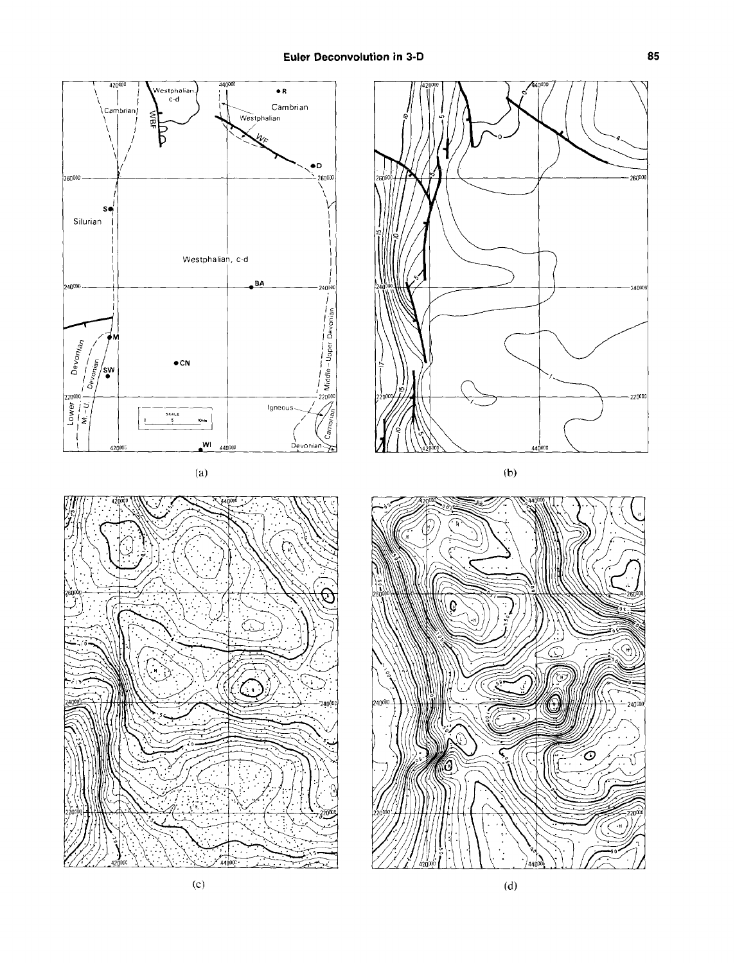

26000

240000

 $-220000$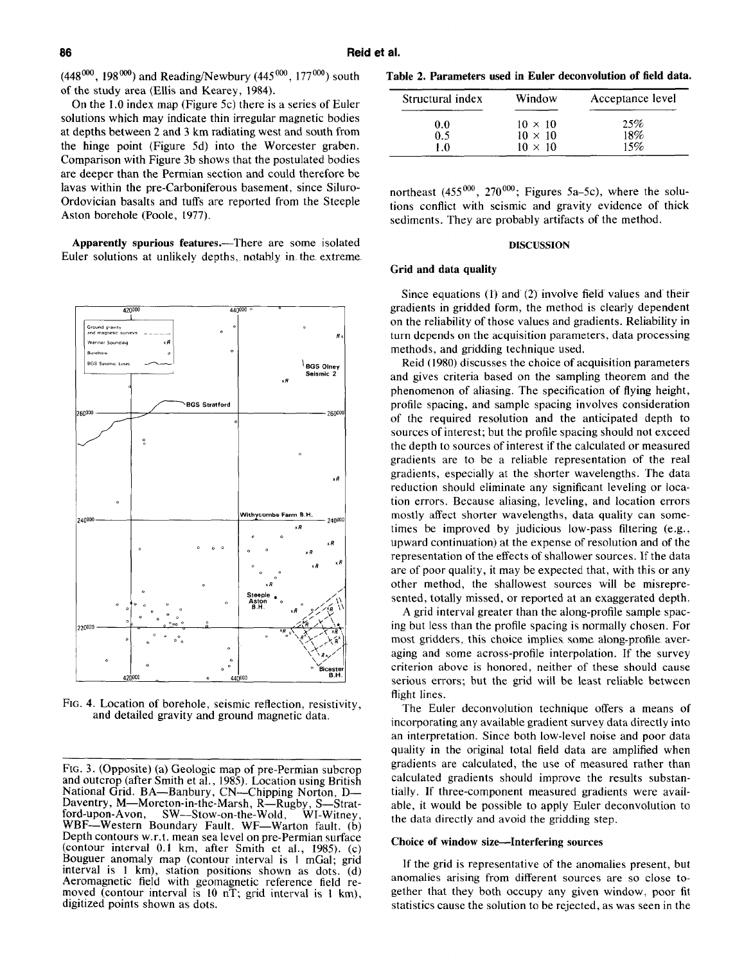$(448^{000}, 198^{000})$  and Reading/Newbury  $(445^{000}, 177^{000})$  south of the study area (Ellis and Kearey, 1984).

On the 1.0 index map (Figure 5c) there is a series of Euler solutions which may indicate thin irregular magnetic bodies at depths between 2 and 3 km radiating west and south from the hinge point (Figure 5d) into the Worcester graben. Comparison with Figure 3b shows that the postulated bodies are deeper than the Permian section and could therefore be lavas within the pre-Carboniferous basement, since Siluro-Ordovician basalts and tuffs are reported from the Steeple Aston borehole (Poole, 1977).

Apparently spurious features.—There are some isolated Euler solutions at unlikely depths, notably in the extreme.



Fig. 4. Location of borehole, seismic reflection, resistivity. and detailed gravity and ground magnetic data.

Table 2. Parameters used in Euler deconvolution of field data.

| Structural index | Window         | Acceptance level |  |  |
|------------------|----------------|------------------|--|--|
| 0.0              | $10 \times 10$ | 25%              |  |  |
| 0.5              | $10 \times 10$ | 18%              |  |  |
| ıΛ               | $10 \times 10$ | 15%              |  |  |

northeast (455<sup>000</sup>, 270<sup>000</sup>; Figures 5a-5c), where the solutions conflict with seismic and gravity evidence of thick sediments. They are probably artifacts of the method.

## **DISCUSSION**

#### Grid and data quality

Since equations  $(1)$  and  $(2)$  involve field values and their gradients in gridded form, the method is clearly dependent on the reliability of those values and gradients. Reliability in turn depends on the acquisition parameters, data processing methods, and gridding technique used.

Reid (1980) discusses the choice of acquisition parameters and gives criteria based on the sampling theorem and the phenomenon of aliasing. The specification of flying height, profile spacing, and sample spacing involves consideration of the required resolution and the anticipated depth to sources of interest; but the profile spacing should not exceed the depth to sources of interest if the calculated or measured gradients are to be a reliable representation of the real gradients, especially at the shorter wavelengths. The data reduction should eliminate any significant leveling or location errors. Because aliasing, leveling, and location errors mostly affect shorter wavelengths, data quality can sometimes be improved by judicious low-pass filtering (e.g., upward continuation) at the expense of resolution and of the representation of the effects of shallower sources. If the data are of poor quality, it may be expected that, with this or any other method, the shallowest sources will be misrepresented, totally missed, or reported at an exaggerated depth.

A grid interval greater than the along-profile sample spacing but less than the profile spacing is normally chosen. For most gridders, this choice implies some along-profile averaging and some across-profile interpolation. If the survey criterion above is honored, neither of these should cause serious errors; but the grid will be least reliable between flight lines.

The Euler deconvolution technique offers a means of incorporating any available gradient survey data directly into an interpretation. Since both low-level noise and poor data quality in the original total field data are amplified when gradients are calculated, the use of measured rather than calculated gradients should improve the results substantially. If three-component measured gradients were available, it would be possible to apply Euler deconvolution to the data directly and avoid the gridding step.

## Choice of window size-Interfering sources

If the grid is representative of the anomalies present, but anomalies arising from different sources are so close together that they both occupy any given window, poor fit statistics cause the solution to be rejected, as was seen in the

Fig. 3. (Opposite) (a) Geologic map of pre-Permian subcrop and outcrop (after Smith et al., 1985). Location using British National Grid. BA-Banbury, CN-Chipping Norton, D-Daventry, M—Moreton-in-the-Marsh, R—Rugby, S—Strat-<br>ford-upon-Avon, SW—Stow-on-the-Wold, WI-Witney, ...<br>WI-Witney, WBF—Western Boundary Fault. WF—Warton fault. (b) Depth contours w.r.t. mean sea level on pre-Permian surface (contour interval 0.1 km, after Smith et al., 1985). (c) Bouguer anomaly map (contour interval is 1 mGal; grid interval is 1 km), station positions shown as dots. (d) Aeromagnetic field with geomagnetic reference field removed (contour interval is 10 nT; grid interval is 1 km), digitized points shown as dots.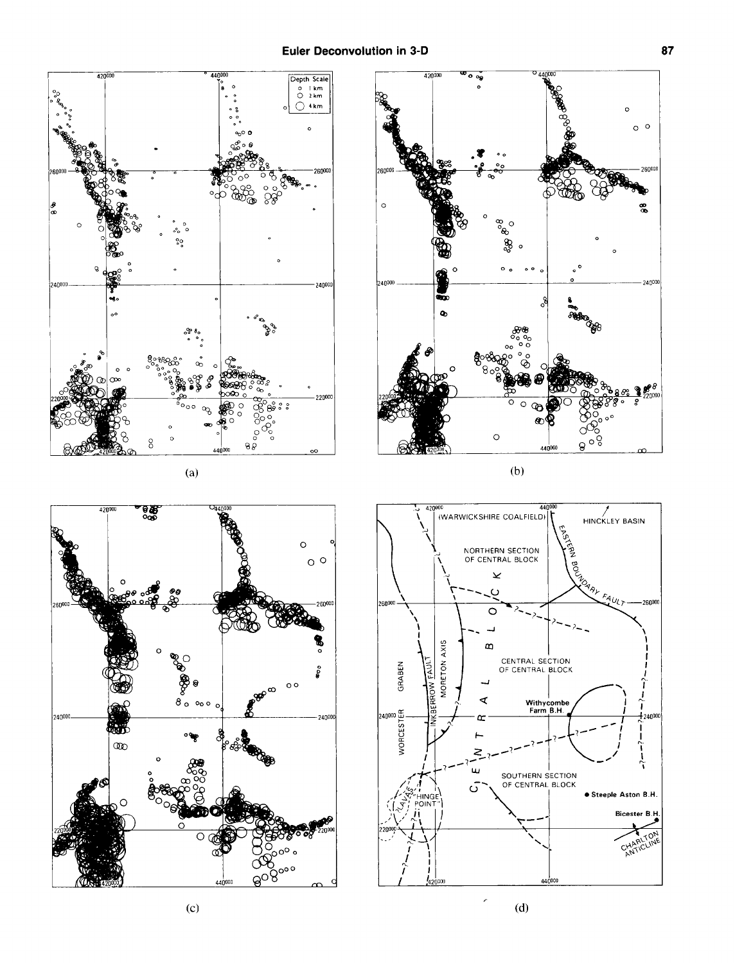

 $(d)$ 

26000

8

24000

-26000

 $10\%$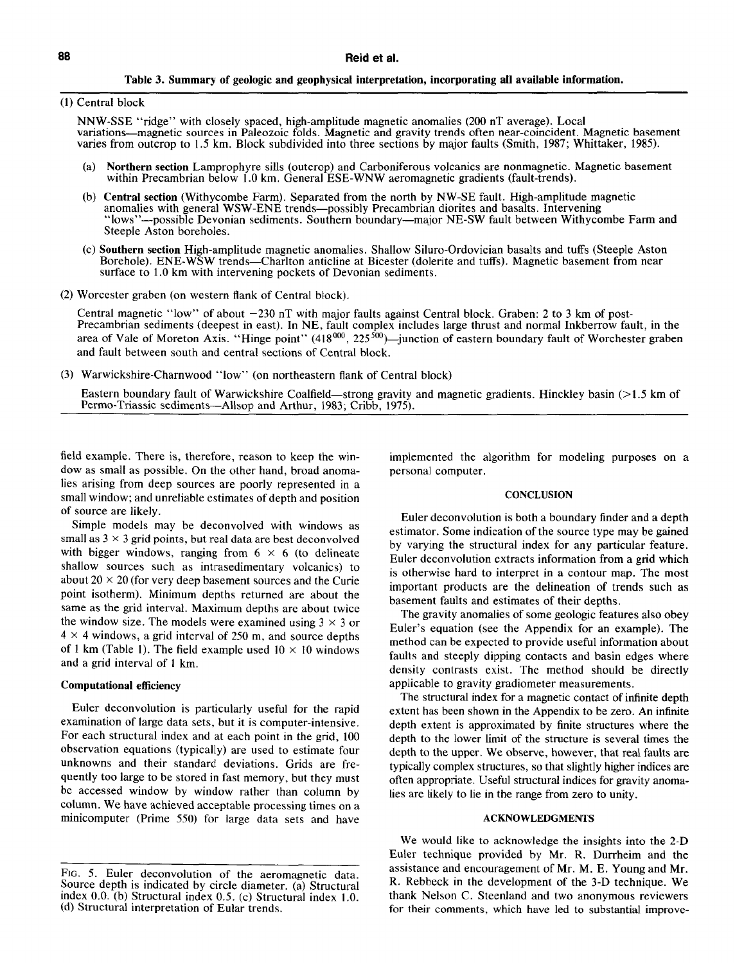## **Table 3. Summary of geologic and geophysical interpretation, incorporating all available information.**

**(1) Central block** 

**NNW-SSE "ridge" with closely spaced, high-amplitude magnetic anomalies (200 nT average). Local variations-magnetic sources in Paleozoic folds. Magnetic and gravity trends often near-coincident. Magnetic basement varies from outcrop to 1.5 km. Block subdivided into three sections by major faults (Smith, 1987; Whittaker, 1985).** 

- **(a) Northern section Lamprophyre sills (outcrop) and Carboniferous volcanics are nonmagnetic. Magnetic basement**  within Precambrian below 1.0 km. General ESE-WNW aeromagnetic gradients (fault-trends).
- **(b) Central section (Withycombe Farm). Separated from the north by NW-SE fault. High-amplitude magnetic anomalies with general WSW-ENE trends-possibly Precambrian diorites and basalts. Intervening "lows''-possible Devonian sediments. Southern boundary-major NE-SW fault between Withycombe Farm and Steeple Aston boreholes.**
- **(c) Southern section High-amplitude magnetic anomalies. Shallow Siluro-Ordovician basalts and tuffs (Steeple Aston Borehole). ENE-WSW trends-Charlton anticline at Bicester (dolerite and tuffs). Magnetic basement from near surface to 1.0 km with intervening pockets of Devonian sediments.**
- **(2) Worcester graben (on western flank of Central block),**

Central magnetic "low" of about  $-230$  nT with major faults against Central block. Graben: 2 to 3 km of post-**Precambrian sediments (deepest in east). In NE, fault complex includes large thrust and normal Inkberrow fault, in the**  area of Vale of Moreton Axis. "Hinge point" (418<sup>000</sup>, 225<sup>500</sup>)—junction of eastern boundary fault of Worchester graben **and fault between south and central sections of Central block.** 

**(3) Warwickshire-Charnwood "low" (on northeastern flank of Central block)** 

Eastern boundary fault of Warwickshire Coalfield—strong gravity and magnetic gradients. Hinckley basin (>1.5 km of Permo-Triassic sediments—Allsop and Arthur, 1983; Cribb, 1975).

**field example. There is, therefore, reason to keep the window as small as possible. On the other hand, broad anomalies arising from deep sources are poorly represented in a small window; and unreliable estimates of depth and position of source are likely.** 

**Simple models may be deconvolved with windows as**  small as  $3 \times 3$  grid points, but real data are best deconvolved with bigger windows, ranging from  $6 \times 6$  (to delineate **shallow sources such as intrasedimentary volcanics) to**  about  $20 \times 20$  (for very deep basement sources and the Curie **point isotherm). Minimum depths returned are about the same as the grid interval. Maximum depths are about twice**  the window size. The models were examined using  $3 \times 3$  or **4 x 4 windows, a grid interval of 250 m, and source depths**  of 1 km (Table 1). The field example used  $10 \times 10$  windows **and a grid interval of I km.** 

## **Computational efficiency**

**Euler deconvolution is particularly useful for the rapid examination of large data sets, but it is computer-intensive. For each structural index and at each point in the grid, 100 observation equations (typically) are used to estimate four unknowns and their standard deviations. Grids are frequently too large to be stored in fast memory, but they must be accessed window by window rather than column by column. We have achieved acceptable processing times on a minicomputer (Prime 550) for large data sets and have**  **implemented the algorithm for modeling purposes on a personal computer.** 

## **CONCLUSION**

**Euler deconvolution is both a boundary finder and a depth estimator. Some indication of the source type may be gained by varying the structural index for any particular feature. Euler deconvolution extracts information from a grid which is otherwise hard to interpret in a contour map. The most important products are the delineation of trends such as basement faults and estimates of their depths.** 

**The gravity anomalies of some geologic features also obey Euler's equation (see the Appendix for an example). The method can be expected to provide useful information about faults and steeply dipping contacts and basin edges where density contrasts exist. The method should be directly applicable to gravity gradiometer measurements.** 

**The structural index for a magnetic contact of infmite depth extent has been shown in the Appendix to be zero. An infinite depth extent is approximated by finite structures where the depth to the lower limit of the structure is several times the depth to the upper. We observe, however, that real faults are typically complex structures, so that slightly higher indices are often appropriate. Useful structural indices for gravity anomalies are likely to lie in the range from zero to unity.** 

# **ACKNOWLEDGMENTS**

**We would like to acknowledge the insights into the 2-D Euler technique provided by Mr. R. Durrheim and the assistance and encouragement of Mr. M. E. Young and Mr. R. Rebbeck in the development of the 3-D technique. We thank Nelson C. Steenland and two anonymous reviewers for their comments, which have led to substantial improve-** 

**FIG. 5. Euler deconvolution of the aeromagnetic data. Source depth is indicated by circle diameter. (a) Structural index 0.0. (b) Structural index 0.5. (c) Structural index 1.0. (d) Structural interpretation of Eular trends.**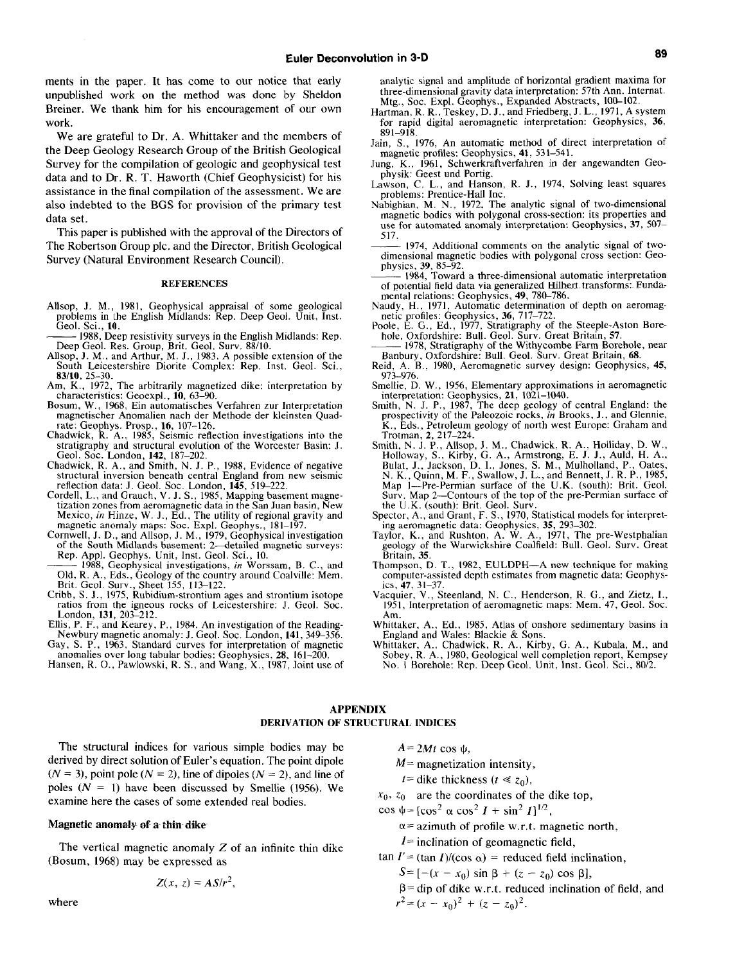ments in the paper. It has come to our notice that early unpublished work on the method was done by Sheldon Breiner. We thank him for his encouragement of our own work.

We are grateful to Dr. A. Whittaker and the members of the Deep Geology Research Group of the British Geological Survey for the compilation of geologic and geophysical test data and to Dr. R. T. Haworth (Chief Geophysicist) for his assistance in the final compilation of the assessment. We are also indebted to the BGS for provision of the primary test data set.

This paper is published with the approval of the Directors of The Robertson Group plc. and the Director, British Geological Survey (Natural Environment Research Council).

## **REFERENCES**

- Allsop, J. M., 1981, Geophysical appraisal of some geological problems in the English Midlands: Rep. Deep Geol. Unit, Inst. Geol. Sci., 10.
- 1988, Deep resistivity surveys in the English Midlands: Rep. Deep Geol. Res. Group, Brit. Geol. Surv. 88/10.
- Allsop, J. M., and Arthur, M. J., 1983, A possible extension of the South Leicestershire Diorite Complex: Rep. Inst. Geol. Sci., 83/10, 25-30.
- Am, K., 1972, The arbitrarily magnetized dike: interpretation by characteristics: Geoexpl., 10, 63-90.
- Bosum, W., 1968, Ein automatisches Verfahren zur Interpretation<br>magnetischer Anomalien nach der Methode der kleinsten Quadrate: Geophys. Prosp., 16, 107-126.<br>Chadwick, R. A., 1985, Seismic reflection investigations into the
- stratigraphy and structural evolution of the Worcester Basin: J. Geol. Soc. London, 142, 187-202
- Chadwick, R. A., and Smith, N. J. P., 1988, Evidence of negative<br>structural inversion beneath central England from new seismic
- reflection data: J. Geol. Soc. London, 145, 519–222.<br>Cordell, L., and Grauch, V. J. S., 1985, Mapping basement magne-<br>tization zones from aeromagnetic data in the San Juan basin. New Mexico, in Hinze, W. J., Ed., The utility of regional gravity and<br>magnetic anomaly maps: Soc. Expl. Geophys., 181–197.<br>Cornwell, J. D., and Allsop, J. M., 1979, Geophysical investigation
- of the South Midlands basement: 2-detailed magnetic surveys: Rep. Appl. Geophys. Unit, Inst. Geol. Sci., 10.
- 1988, Geophysical investigations, in Worssam, B. C. . and Old, R. A., Eds., Geology of the country around Coalville: Mem.<br>Brit. Geol. Surv., Sheet 155, 113–122.<br>Cribb, S. J., 1975, Rubidium-strontium ages and strontium isotope
- ratios from the igneous rocks of Leicestershire: J. Geol. Soc. London, 131, 203-212.
- Ellis, P. F., and Kearey, P., 1984, An investigation of the Reading-
- Newbury magnetic anomaly: J. Geol. Soc. London, 141, 349-356. Gay, S. P., 1963, Standard curves for interpretation of magnetic
- anomalies over long tabular bodies: Geophysics, 28, 161–200.<br>Hansen, R. O., Pawlowski, R. S., and Wang, X., 1987, Joint use of

analytic signal and amplitude of horizontal gradient maxima for three-dimensional gravity data interpretation: 57th Ann. Internat. Mtg., Soc. Expl. Geophys., Expanded Abstracts, 100-102.

- Hartman, R. R., Teskey, D. J., and Friedberg, J. L., 1971, A system for rapid digital aeromagnetic interpretation: Geophysics, 36,  $891 - 918$
- Jain, S., 1976, An automatic method of direct interpretation of magnetic profiles: Geophysics, 41, 531-541.
- Jung, K., 1961, Schwerkraftverfahren in der angewandten Geophysik: Geest und Portig.
- Lawson, C. L., and Hanson, R. J., 1974, Solving least squares problems: Prentice-Hall Inc.
- Nabighian, M. N., 1972, The analytic signal of two-dimensional magnetic bodies with polygonal cross-section: its properties and use for automated anomaly interpretation. Geophysics, 37, 507-517.
- 1974, Additional comments on the analytic signal of twodimensional magnetic bodies with polygonal cross section: Geophysics, 39, 85–92.<br>
- 1984, Toward a three-dimensional automatic interpretation
- of potential field data via generalized Hilbert transforms. Fundamental relations: Geophysics, 49, 780-786.
- Naudy, H., 1971, Automatic determination of depth on aeromag-
- reaury, 11, 1971, Audinant actomization of depth on actomagnetic profiles: Geophysics, 36, 717–722.<br>Poole, E. G., Ed., 1977, Stratigraphy of the Steeple-Aston Bore-<br>hole, Oxfordshire: Bull. Geol. Surv. Great Britain, 57.<br>1
- Banbury, Oxfordshire: Bull. Geol. Surv. Great Britain, 68.
- Reid, A. B., 1980, Aeromagnetic survey design: Geophysics, 45, 973-976.
- Smellie, D. W., 1956, Elementary approximations in aeromagnetic
- interpretation: Geophysics, 21, 1021-1040.<br>Smith, N. J. P., 1987, The deep geology of central England: the<br>prospectivity of the Paleozoic rocks, in Brooks, J., and Glennie, K., Eds., Petroleum geology of north west Europe: Graham and Trotman, 2, 217-224.
- Froman, 2, 21-22-4.<br>
Smith, N. J. P., Allsop, J. M., Chadwick, R. A., Holliday, D. W., Holloway, S., Kirby, G. A., Armstrong, E. J. J., Auld, H. A., Bulat, J., Jackson, D. I., Jones, S. M., Mulholland, P., Oates, N. K., Qu Map 1-Pre-Permian surface of the U.K. (south): Brit. Geol. Surv. Map 2-Contours of the top of the pre-Permian surface of the U.K. (south): Brit. Geol. Surv
- Spector, A., and Grant, F. S., 1970, Statistical models for interpret-
- ing aeromagnetic data: Geophysics, 35, 293-302.<br>Taylor, K., and Rushton, A. W. A., 1971, The pre-Westphalian geology of the Warwickshire Coalfield: Bull. Geol. Surv. Great Britain, 35.
- Thompson, D. T., 1982, EULDPH-A new technique for making computer-assisted depth estimates from magnetic data: Geophys-
- ics, 47, 31–37.<br>Vacquier, V., Steenland, N. C., Henderson, R. G., and Zietz, I., 1951, Interpretation of aeromagnetic maps: Mem. 47, Geol. Soc.  $Am.$
- Whittaker, A., Ed., 1985, Atlas of onshore sedimentary basins in<br>England and Wales: Blackie & Sons.
- Whittaker, A., Chadwick, R. A., Kirby, G. A., Kubala, M., and Sobey, R. A., 1980, Geological well completion report, Kempsey No. J Borehole: Rep. Deep Geol. Unit. Inst. Geol. Sci., 80/2.

# **APPENDIX** DERIVATION OF STRUCTURAL INDICES

The structural indices for various simple bodies may be derived by direct solution of Euler's equation. The point dipole  $(N = 3)$ , point pole  $(N = 2)$ , line of dipoles  $(N = 2)$ , and line of poles  $(N = 1)$  have been discussed by Smellie (1956). We examine here the cases of some extended real bodies.

#### Magnetic anomaly of a thin dike

The vertical magnetic anomaly  $Z$  of an infinite thin dike (Bosum, 1968) may be expressed as

$$
Z(x, z) = AS/r^2,
$$

 $A = 2Mt \cos \psi$ ,

- $M$  = magnetization intensity,
- *t*= dike thickness ( $t \ll z_0$ ),
- $x_0$ ,  $z_0$  are the coordinates of the dike top,
- $\cos \psi = [\cos^2 \alpha \cos^2 I + \sin^2 I]^{1/2}$ ,
	- $\alpha$  = azimuth of profile w.r.t. magnetic north,
	- $I =$  inclination of geomagnetic field.
- $\tan I' = (\tan I)/(\cos \alpha) =$  reduced field inclination.
	- $S = [-(x x_0) \sin \beta + (z z_0) \cos \beta],$
	- $\beta$  = dip of dike w.r.t. reduced inclination of field, and  $r^{2} = (x - x_{0})^{2} + (z - z_{0})^{2}$ .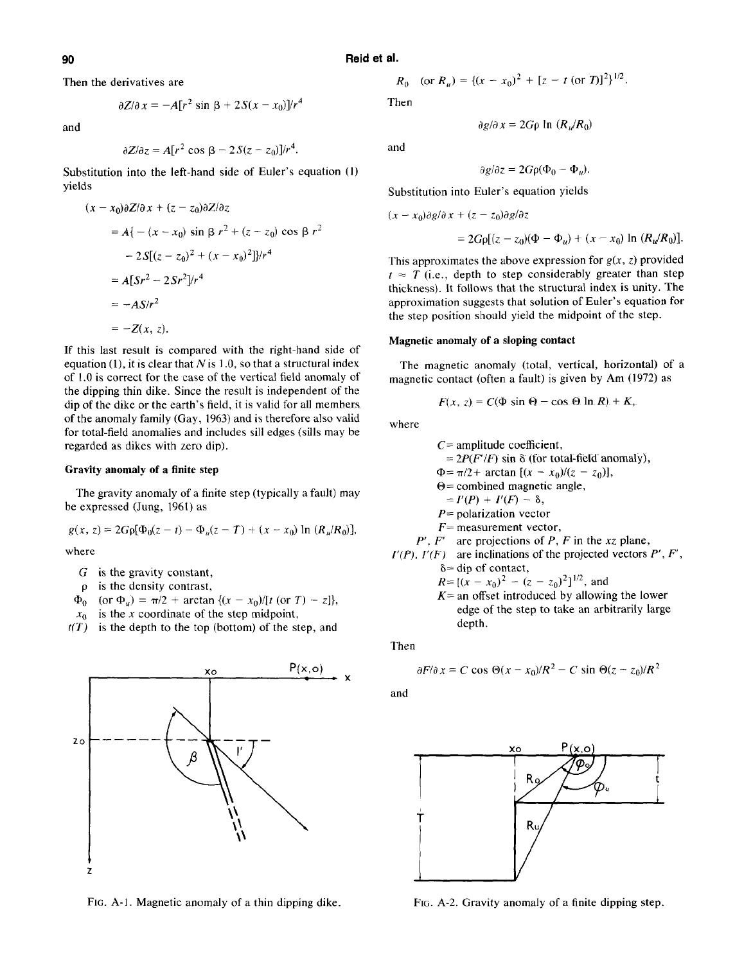**90 Reid et al.** 

**Then the derivatives are** 

$$
\partial Z/\partial x = -A[r^2 \sin \beta + 2S(x - x_0)]/r^4
$$

**and** 

$$
\partial Z/\partial z = A[r^2 \cos \beta - 2S(z - z_0)]/r^4.
$$

**Substitution into the left-hand side of Euler's equation (1) yields** 

$$
(x - x_0)\partial Z/\partial x + (z - z_0)\partial Z/\partial z
$$
  
=  $A\{ -(x - x_0) \sin \beta r^2 + (z - z_0) \cos \beta r^2$   
 $- 2S[(z - z_0)^2 + (x - x_0)^2] \}/r^4$   
=  $A[Sr^2 - 2Sr^2]/r^4$   
=  $-AS/r^2$   
=  $-Z(x, z)$ .

**If this last result is compared with the right-hand side of equation (l), it is clear that N is I .O, so that a structural index of 1 .O is correct for the case of the vertical field anomaly of the dipping thin dike. Since the result is independent of the dip of the dike or the earth's field, it is valid for all members of the anomaly family (Gay, 1963) and is therefore also valid for total-field anomalies and includes sill edges (sills may be regarded as dikes with zero dip).** 

# **Gravity anomaly of a finite step**

**The gravity anomaly of a finite step (typically a fault) may be expressed (Jung, 1961) as** 

$$
g(x, z) = 2G \rho [\Phi_0(z - t) - \Phi_u(z - T) + (x - x_0) \ln (R_u/R_0)],
$$

**where** 

- **G is the gravity constant,**
- **p is the density contrast,**
- $\Phi_0$  (or  $\Phi_u$ ) =  $\pi/2$  + arctan  $\{(x x_0)/[t \text{ (or } T) z]\},$
- $x_0$  is the x coordinate of the step midpoint,
- **t(T) is the depth to the top (bottom) of the step, and**



**FIG. A-l. Magnetic anomaly of a thin dipping dike.** 

$$
R_0 \quad \text{(or } R_u) = \{ (x - x_0)^2 + [z - t \text{ (or } T] \}^2 \}^{1/2}.
$$

**Then** 

**and** 

$$
\partial g/\partial z = 2G\rho(\Phi_0 - \Phi_u).
$$

 $\partial g/\partial x = 2G\rho \ln (R_y/R_0)$ 

**Substitution into Euler's equation yields** 

$$
(x - x_0)\partial g/\partial x + (z - z_0)\partial g/\partial z
$$
  
=  $2G\rho[(z - z_0)(\Phi - \Phi_u) + (x - x_0) \ln (R_u/R_0)].$ 

This approximates the above expression for  $g(x, z)$  provided  $t \approx T$  (i.e., depth to step considerably greater than step **thickness). It follows that the structural index is unity. The approximation suggests that solution of Euler's equation for the step position should yield the midpoint of the step.** 

## **Magnetic anomaly of a sloping contact**

**depth.** 

**The magnetic anomaly (total, vertical, horizontal) of a magnetic contact (often a fault) is given by Am (1972) as** 

$$
F(x, z) = C(\Phi \sin \Theta - \cos \Theta \ln R) + K_{\gamma}.
$$

**where** 

C= amplitude coefficient,  
\t= 
$$
2P(F'/F)
$$
 sin  $\delta$  (for total-field anomaly),  
\t $\Phi = \pi/2 + \arctan [(x - x_0)/(z - z_0)],$   
\t $\Theta = \text{combined magnetic angle},$   
\t=  $I'(P) + I'(F) - \delta,$   
 $P = \text{polarization vector}$   
 $F = \text{measurement vector},$   
 $P', F'$  are projections of P, F in the xz plane,  
 $I'(P), I'(F)$  are inclinations of the projected vectors P', F',  
\t $\delta = \text{dip of contact},$   
 $R = [(x - x_0)^2 - (z - z_0)^2]^{1/2},$  and  
 $K = \text{an offset introduced by allowing the lower}$ 

**edge of the step to take an arbitrarily large** 

**Then** 

$$
\partial F/\partial x = C \cos \Theta(x - x_0)/R^2 - C \sin \Theta(z - z_0)/R^2
$$

**and** 



**FIG. A-2. Gravity anomaly of a finite dipping step.**